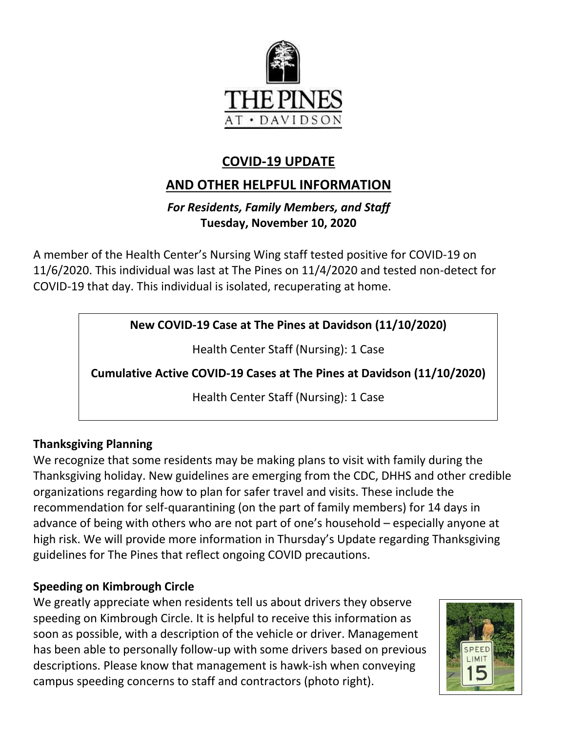

# **COVID-19 UPDATE**

# **AND OTHER HELPFUL INFORMATION**

## *For Residents, Family Members, and Staff* **Tuesday, November 10, 2020**

A member of the Health Center's Nursing Wing staff tested positive for COVID-19 on 11/6/2020. This individual was last at The Pines on 11/4/2020 and tested non-detect for COVID-19 that day. This individual is isolated, recuperating at home.

**New COVID-19 Case at The Pines at Davidson (11/10/2020)**

Health Center Staff (Nursing): 1 Case

**Cumulative Active COVID-19 Cases at The Pines at Davidson (11/10/2020)**

Health Center Staff (Nursing): 1 Case

# **Thanksgiving Planning**

We recognize that some residents may be making plans to visit with family during the Thanksgiving holiday. New guidelines are emerging from the CDC, DHHS and other credible organizations regarding how to plan for safer travel and visits. These include the recommendation for self-quarantining (on the part of family members) for 14 days in advance of being with others who are not part of one's household – especially anyone at high risk. We will provide more information in Thursday's Update regarding Thanksgiving guidelines for The Pines that reflect ongoing COVID precautions.

## **Speeding on Kimbrough Circle**

We greatly appreciate when residents tell us about drivers they observe speeding on Kimbrough Circle. It is helpful to receive this information as soon as possible, with a description of the vehicle or driver. Management has been able to personally follow-up with some drivers based on previous descriptions. Please know that management is hawk-ish when conveying campus speeding concerns to staff and contractors (photo right).

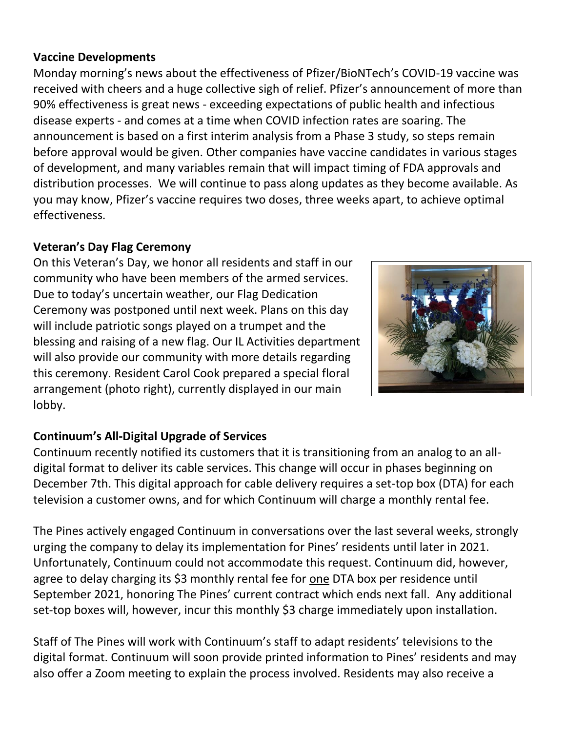#### **Vaccine Developments**

Monday morning's news about the effectiveness of Pfizer/BioNTech's COVID-19 vaccine was received with cheers and a huge collective sigh of relief. Pfizer's announcement of more than 90% effectiveness is great news - exceeding expectations of public health and infectious disease experts - and comes at a time when COVID infection rates are soaring. The announcement is based on a first interim analysis from a Phase 3 study, so steps remain before approval would be given. Other companies have vaccine candidates in various stages of development, and many variables remain that will impact timing of FDA approvals and distribution processes. We will continue to pass along updates as they become available. As you may know, Pfizer's vaccine requires two doses, three weeks apart, to achieve optimal effectiveness.

### **Veteran's Day Flag Ceremony**

On this Veteran's Day, we honor all residents and staff in our community who have been members of the armed services. Due to today's uncertain weather, our Flag Dedication Ceremony was postponed until next week. Plans on this day will include patriotic songs played on a trumpet and the blessing and raising of a new flag. Our IL Activities department will also provide our community with more details regarding this ceremony. Resident Carol Cook prepared a special floral arrangement (photo right), currently displayed in our main lobby.



# **Continuum's All-Digital Upgrade of Services**

Continuum recently notified its customers that it is transitioning from an analog to an alldigital format to deliver its cable services. This change will occur in phases beginning on December 7th. This digital approach for cable delivery requires a set-top box (DTA) for each television a customer owns, and for which Continuum will charge a monthly rental fee.

The Pines actively engaged Continuum in conversations over the last several weeks, strongly urging the company to delay its implementation for Pines' residents until later in 2021. Unfortunately, Continuum could not accommodate this request. Continuum did, however, agree to delay charging its \$3 monthly rental fee for <u>one</u> DTA box per residence until September 2021, honoring The Pines' current contract which ends next fall. Any additional set-top boxes will, however, incur this monthly \$3 charge immediately upon installation.

Staff of The Pines will work with Continuum's staff to adapt residents' televisions to the digital format. Continuum will soon provide printed information to Pines' residents and may also offer a Zoom meeting to explain the process involved. Residents may also receive a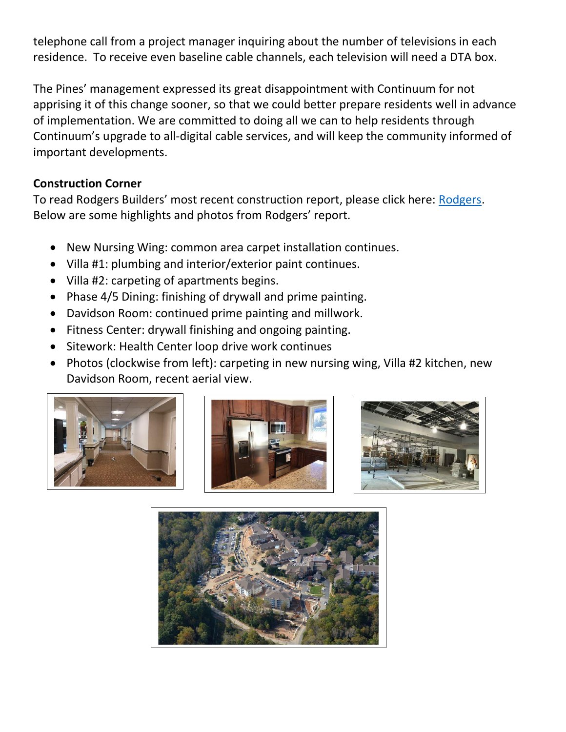telephone call from a project manager inquiring about the number of televisions in each residence. To receive even baseline cable channels, each television will need a DTA box.

The Pines' management expressed its great disappointment with Continuum for not apprising it of this change sooner, so that we could better prepare residents well in advance of implementation. We are committed to doing all we can to help residents through Continuum's upgrade to all-digital cable services, and will keep the community informed of important developments.

#### **Construction Corner**

To read Rodgers Builders' most recent construction report, please click here: [Rodgers.](https://www.mycommunity-center.com/filephotos/463/2020-11-6%20Weekly%20Update.pdf) Below are some highlights and photos from Rodgers' report.

- New Nursing Wing: common area carpet installation continues.
- Villa #1: plumbing and interior/exterior paint continues.
- Villa #2: carpeting of apartments begins.
- Phase 4/5 Dining: finishing of drywall and prime painting.
- Davidson Room: continued prime painting and millwork.
- Fitness Center: drywall finishing and ongoing painting.
- Sitework: Health Center loop drive work continues
- Photos (clockwise from left): carpeting in new nursing wing, Villa #2 kitchen, new Davidson Room, recent aerial view.